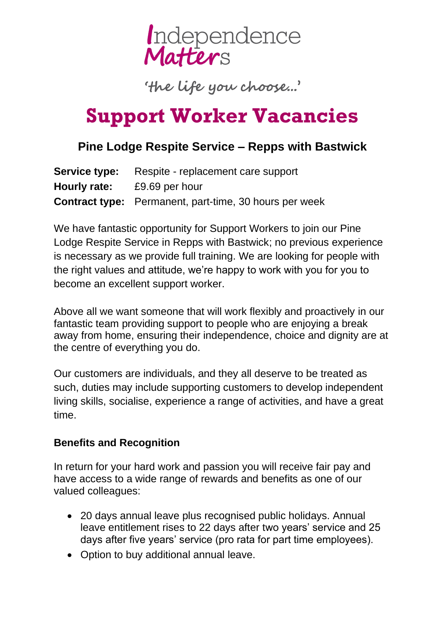

'the life you choose...'

## **Support Worker Vacancies**

## **Pine Lodge Respite Service – Repps with Bastwick**

|                                    | <b>Service type:</b> Respite - replacement care support       |
|------------------------------------|---------------------------------------------------------------|
| <b>Hourly rate:</b> £9.69 per hour |                                                               |
|                                    | <b>Contract type:</b> Permanent, part-time, 30 hours per week |

We have fantastic opportunity for Support Workers to join our Pine Lodge Respite Service in Repps with Bastwick; no previous experience is necessary as we provide full training. We are looking for people with the right values and attitude, we're happy to work with you for you to become an excellent support worker.

Above all we want someone that will work flexibly and proactively in our fantastic team providing support to people who are enjoying a break away from home, ensuring their independence, choice and dignity are at the centre of everything you do.

Our customers are individuals, and they all deserve to be treated as such, duties may include supporting customers to develop independent living skills, socialise, experience a range of activities, and have a great time.

## **Benefits and Recognition**

In return for your hard work and passion you will receive fair pay and have access to a wide range of rewards and benefits as one of our valued colleagues:

- 20 days annual leave plus recognised public holidays. Annual leave entitlement rises to 22 days after two years' service and 25 days after five years' service (pro rata for part time employees).
- Option to buy additional annual leave.